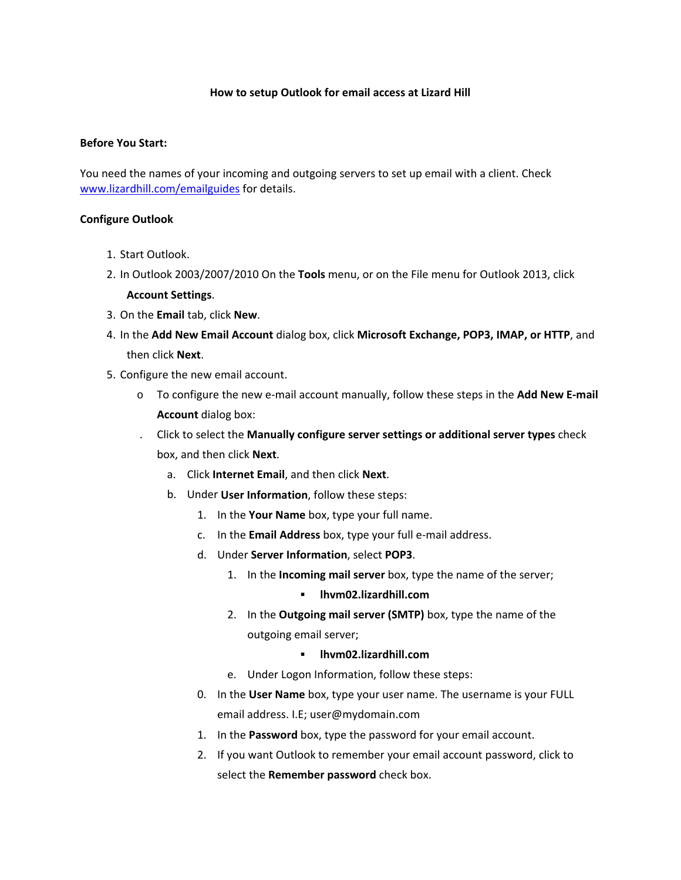## **How to setup Outlook for email access at Lizard Hill**

## **Before You Start:**

You need the names of your incoming and outgoing servers to set up email with a client. Check www.lizardhill.com/emailguides for details.

## **Configure Outlook**

- 1. Start Outlook.
- 2. In Outlook 2003/2007/2010 On the **Tools** menu, or on the File menu for Outlook 2013, click **Account Settings**.
- 3. On the **Email** tab, click **New**.
- 4. In the **Add New Email Account** dialog box, click **Microsoft Exchange, POP3, IMAP, or HTTP**, and then click **Next**.
- 5. Configure the new email account.
	- o To configure the new e‐mail account manually, follow these steps in the **Add New E‐mail Account** dialog box:
	- . Click to select the **Manually configure server settings or additional server types** check box, and then click **Next**.
		- a. Click **Internet Email**, and then click **Next**.
		- b. Under **User Information**, follow these steps:
			- 1. In the **Your Name** box, type your full name.
			- c. In the **Email Address** box, type your full e‐mail address.
			- d. Under **Server Information**, select **POP3**.
				- 1. In the **Incoming mail server** box, type the name of the server;
					- **lhvm02.lizardhill.com**
				- 2. In the **Outgoing mail server (SMTP)** box, type the name of the outgoing email server;

## **lhvm02.lizardhill.com**

- e. Under Logon Information, follow these steps:
- 0. In the **User Name** box, type your user name. The username is your FULL email address. I.E; user@mydomain.com
- 1. In the **Password** box, type the password for your email account.
- 2. If you want Outlook to remember your email account password, click to select the **Remember password** check box.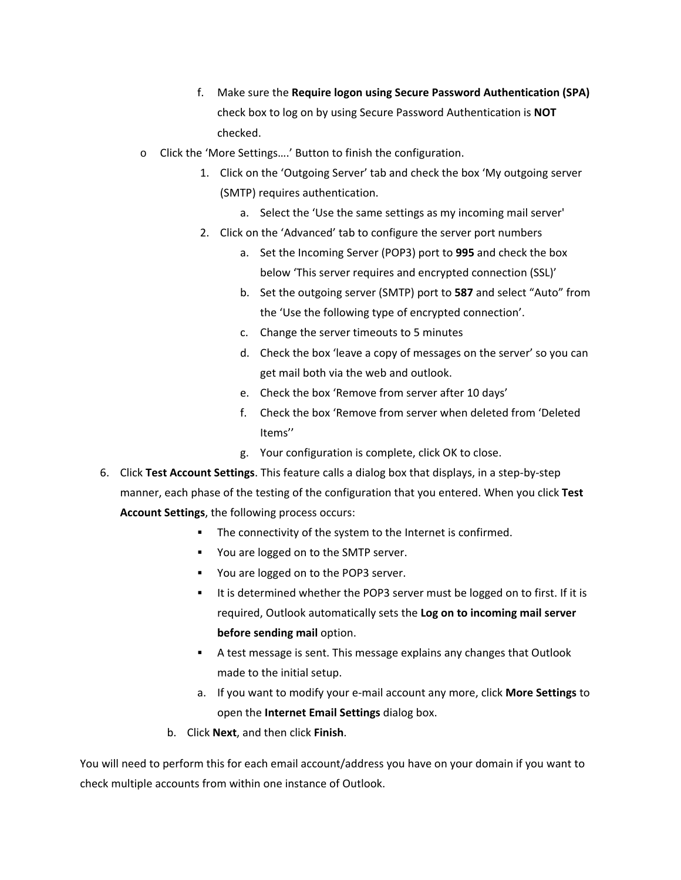- f. Make sure the **Require logon using Secure Password Authentication (SPA)** check box to log on by using Secure Password Authentication is **NOT** checked.
- o Click the 'More Settings….' Button to finish the configuration.
	- 1. Click on the 'Outgoing Server' tab and check the box 'My outgoing server (SMTP) requires authentication.
		- a. Select the 'Use the same settings as my incoming mail server'
	- 2. Click on the 'Advanced' tab to configure the server port numbers
		- a. Set the Incoming Server (POP3) port to **995** and check the box below 'This server requires and encrypted connection (SSL)'
		- b. Set the outgoing server (SMTP) port to **587** and select "Auto" from the 'Use the following type of encrypted connection'.
		- c. Change the server timeouts to 5 minutes
		- d. Check the box 'leave a copy of messages on the server' so you can get mail both via the web and outlook.
		- e. Check the box 'Remove from server after 10 days'
		- f. Check the box 'Remove from server when deleted from 'Deleted Items''
		- g. Your configuration is complete, click OK to close.
- 6. Click **Test Account Settings**. This feature calls a dialog box that displays, in a step‐by‐step manner, each phase of the testing of the configuration that you entered. When you click **Test Account Settings**, the following process occurs:
	- **The connectivity of the system to the Internet is confirmed.**
	- **You are logged on to the SMTP server.**
	- **You are logged on to the POP3 server.**
	- It is determined whether the POP3 server must be logged on to first. If it is required, Outlook automatically sets the **Log on to incoming mail server before sending mail** option.
	- A test message is sent. This message explains any changes that Outlook made to the initial setup.
	- a. If you want to modify your e‐mail account any more, click **More Settings** to open the **Internet Email Settings** dialog box.
	- b. Click **Next**, and then click **Finish**.

You will need to perform this for each email account/address you have on your domain if you want to check multiple accounts from within one instance of Outlook.